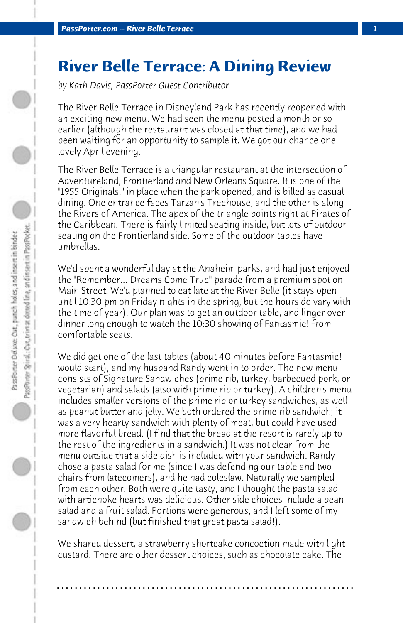## **River Belle Terrace: A Dining Review**

*by Kath Davis, PassPorter Guest Contributor*

The River Belle Terrace in Disneyland Park has recently reopened with an exciting new menu. We had seen the menu posted a month or so earlier (although the restaurant was closed at that time), and we had been waiting for an opportunity to sample it. We got our chance one lovely April evening.

The River Belle Terrace is a triangular restaurant at the intersection of Adventureland, Frontierland and New Orleans Square. It is one of the "1955 Originals," in place when the park opened, and is billed as casual dining. One entrance faces Tarzan's Treehouse, and the other is along the Rivers of America. The apex of the triangle points right at Pirates of the Caribbean. There is fairly limited seating inside, but lots of outdoor seating on the Frontierland side. Some of the outdoor tables have umbrellas.

We'd spent a wonderful day at the Anaheim parks, and had just enjoyed the "Remember... Dreams Come True" parade from a premium spot on Main Street. We'd planned to eat late at the River Belle (it stays open until 10:30 pm on Friday nights in the spring, but the hours do vary with the time of year). Our plan was to get an outdoor table, and linger over dinner long enough to watch the 10:30 showing of Fantasmic! from comfortable seats.

We did get one of the last tables (about 40 minutes before Fantasmic! would start), and my husband Randy went in to order. The new menu consists of Signature Sandwiches (prime rib, turkey, barbecued pork, or vegetarian) and salads (also with prime rib or turkey). A children's menu includes smaller versions of the prime rib or turkey sandwiches, as well as peanut butter and jelly. We both ordered the prime rib sandwich; it was a very hearty sandwich with plenty of meat, but could have used more flavorful bread. (I find that the bread at the resort is rarely up to the rest of the ingredients in a sandwich.) It was not clear from the menu outside that a side dish is included with your sandwich. Randy chose a pasta salad for me (since I was defending our table and two chairs from latecomers), and he had coleslaw. Naturally we sampled from each other. Both were quite tasty, and I thought the pasta salad with artichoke hearts was delicious. Other side choices include a bean salad and a fruit salad. Portions were generous, and I left some of my sandwich behind (but finished that great pasta salad!).

We shared dessert, a strawberry shortcake concoction made with light custard. There are other dessert choices, such as chocolate cake. The

**. . . . . . . . . . . . . . . . . . . . . . . . . . . . . . . . . . . . . . . . . . . . . . . . . . . . . . . . . . . . . . . . . .**